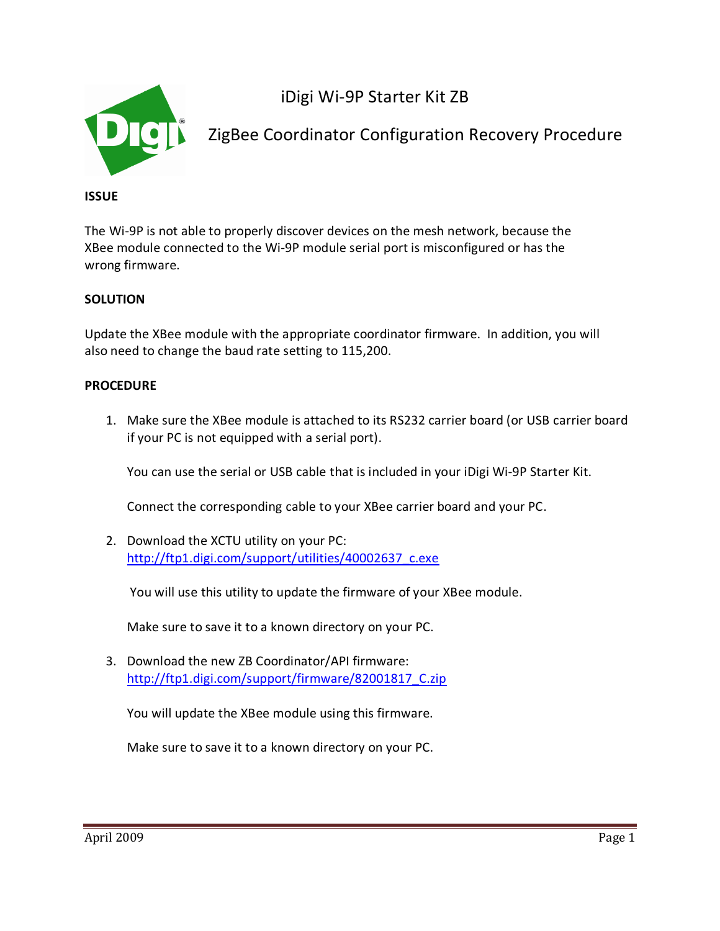

iDigi Wi-9P Starter Kit ZB

ZigBee Coordinator Configuration Recovery Procedure

## **ISSUE**

The Wi-9P is not able to properly discover devices on the mesh network, because the XBee module connected to the Wi-9P module serial port is misconfigured or has the wrong firmware.

## **SOLUTION**

Update the XBee module with the appropriate coordinator firmware. In addition, you will also need to change the baud rate setting to 115,200.

## **PROCEDURE**

1. Make sure the XBee module is attached to its RS232 carrier board (or USB carrier board if your PC is not equipped with a serial port).

You can use the serial or USB cable that is included in your iDigi Wi-9P Starter Kit.

Connect the corresponding cable to your XBee carrier board and your PC.

2. Download the XCTU utility on your PC: [http://ftp1.digi.com/support/utilities/40002637\\_c.exe](http://ftp1.digi.com/support/utilities/40002637_c.exe)

You will use this utility to update the firmware of your XBee module.

Make sure to save it to a known directory on your PC.

3. Download the new ZB Coordinator/API firmware: [http://ftp1.digi.com/support/firmware/82001817\\_C.zip](http://ftp1.digi.com/support/firmware/82001817_C.zip)

You will update the XBee module using this firmware.

Make sure to save it to a known directory on your PC.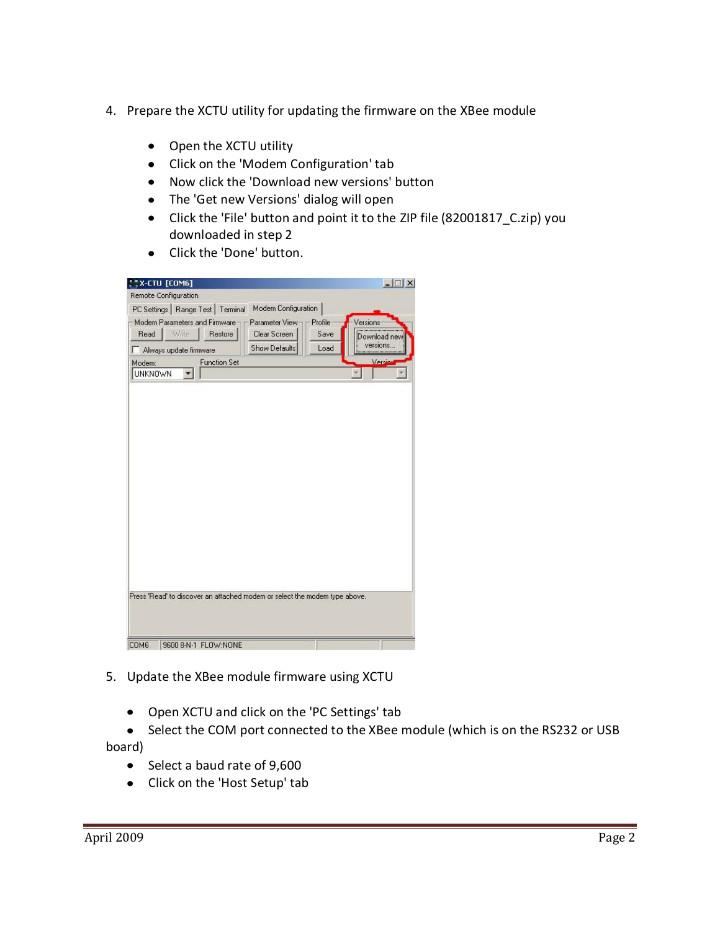- 4. Prepare the XCTU utility for updating the firmware on the XBee module
	- Open the XCTU utility
	- Click on the 'Modem Configuration' tab
	- Now click the 'Download new versions' button
	- The 'Get new Versions' dialog will open
	- Click the 'File' button and point it to the ZIP file (82001817\_C.zip) you downloaded in step 2
	- Click the 'Done' button.

| Remote Configuration                                                       |                                 |                        |                                      |
|----------------------------------------------------------------------------|---------------------------------|------------------------|--------------------------------------|
| PC Settings   Range Test   Terminal                                        | Modem Configuration             |                        |                                      |
| Modem Parameters and Firmware-<br>Write:<br>Read<br>Restore                | Parameter View-<br>Clear Screen | <b>Profile</b><br>Save | Versions<br>Download new<br>versions |
| Always update firmware                                                     | Show Defaults                   | Load                   |                                      |
| <b>Function Set</b><br>Modem:                                              |                                 |                        | Versio                               |
| <b>UNKNOWN</b>                                                             |                                 |                        |                                      |
|                                                                            |                                 |                        |                                      |
|                                                                            |                                 |                        |                                      |
|                                                                            |                                 |                        |                                      |
|                                                                            |                                 |                        |                                      |
|                                                                            |                                 |                        |                                      |
|                                                                            |                                 |                        |                                      |
|                                                                            |                                 |                        |                                      |
|                                                                            |                                 |                        |                                      |
|                                                                            |                                 |                        |                                      |
|                                                                            |                                 |                        |                                      |
|                                                                            |                                 |                        |                                      |
|                                                                            |                                 |                        |                                      |
|                                                                            |                                 |                        |                                      |
|                                                                            |                                 |                        |                                      |
|                                                                            |                                 |                        |                                      |
|                                                                            |                                 |                        |                                      |
|                                                                            |                                 |                        |                                      |
| Press 'Read' to discover an attached modem or select the modem type above. |                                 |                        |                                      |

- 5. Update the XBee module firmware using XCTU
	- Open XCTU and click on the 'PC Settings' tab
- Select the COM port connected to the XBee module (which is on the RS232 or USB board)
	- Select a baud rate of 9,600
	- Click on the 'Host Setup' tab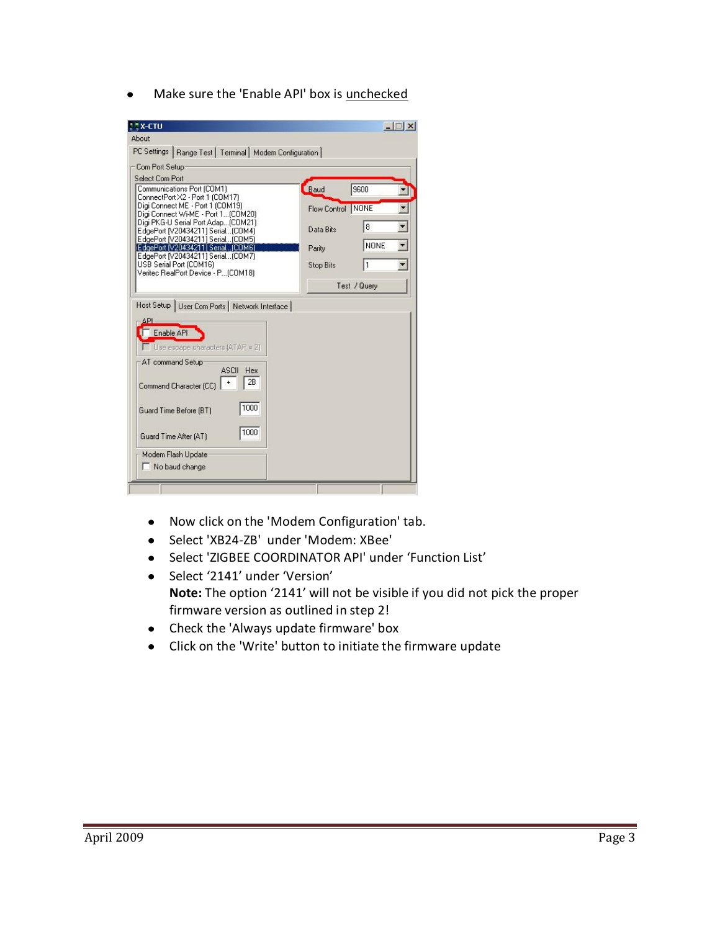• Make sure the 'Enable API' box is unchecked

| X-CTU                                                                     |                   | $ \Box$ $\times$              |
|---------------------------------------------------------------------------|-------------------|-------------------------------|
| About                                                                     |                   |                               |
| PC Settings   Range Test   Terminal   Modem Configuration                 |                   |                               |
| Com Port Setup                                                            |                   |                               |
| Select Com Port                                                           |                   |                               |
| Communications Port (COM1)<br>ConnectPort X2 - Port 1 (COM17)             | Baud              | 9600                          |
| Digi Connect ME - Port 1 (COM19)                                          | Flow Control NONE |                               |
| Digi Connect Wi-ME - Port 1 (COM20)<br>Digi PKG-U Serial Port Adap(COM21) |                   |                               |
| EdgePort [V20434211] Serial (COM4)                                        | Data Bits         | $\blacksquare$<br>8           |
| EdgePort [V20434211] Serial (COM5)<br>EdgePort IV204342111 Serial (COM6)  | Parity            | $\blacksquare$<br><b>NONE</b> |
| EdgePort [V20434211] Serial [COM7]                                        |                   | $\overline{\phantom{a}}$      |
| USB Serial Port (COM16)<br>Verited RealPort Device - P (COM18)            | <b>Stop Bits</b>  | l1                            |
|                                                                           |                   | Test / Query                  |
|                                                                           |                   |                               |
| Host Setup   User Com Ports   Network Interface                           |                   |                               |
| API                                                                       |                   |                               |
| Enable API                                                                |                   |                               |
| $\Box$ Use escape characters $\Box$ ATAP = 21                             |                   |                               |
| AT command Setup                                                          |                   |                               |
| <b>ASCII</b><br>Hex                                                       |                   |                               |
| 2B<br>Command Character (CC)                                              |                   |                               |
|                                                                           |                   |                               |
| 1000<br>Guard Time Before (BT)                                            |                   |                               |
| 1000                                                                      |                   |                               |
| Guard Time After (AT)                                                     |                   |                               |
| Modem Flash Update                                                        |                   |                               |
|                                                                           |                   |                               |

- Now click on the 'Modem Configuration' tab.
- Select 'XB24-ZB' under 'Modem: XBee'
- Select 'ZIGBEE COORDINATOR API' under 'Function List'
- Select '2141' under 'Version' **Note:** The option '2141' will not be visible if you did not pick the proper firmware version as outlined in step 2!
- Check the 'Always update firmware' box
- Click on the 'Write' button to initiate the firmware update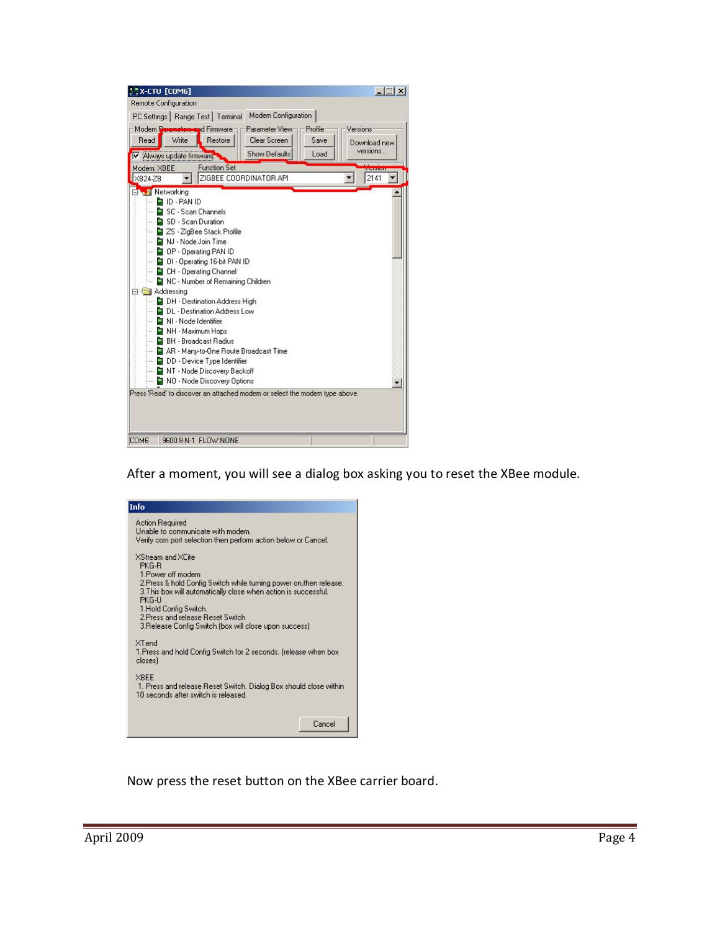|                         | <b>Remote Configuration</b>                                             |
|-------------------------|-------------------------------------------------------------------------|
|                         | Modem Configuration<br>PC Settings   Range Test   Terminal              |
|                         | Modem Deremotors-and Firmware<br>Parameter View-<br>Versions<br>Profile |
| Read                    | Write<br>Restore<br>Clear Screen<br>Save<br>Download new                |
|                         | versions<br><b>Show Defaults</b><br>Load<br>V Always update firmware    |
| Modem: XBEE             | <b>Function Set</b><br><b>SUPPORT</b>                                   |
| $XB24-ZB$               | ZIGBEE COORDINATOR API<br>2141                                          |
| <b>ENGIN</b> Networking |                                                                         |
|                         | <b>D</b> ID - PAN ID                                                    |
|                         | SC - Scan Channels                                                      |
|                         | — ■ SD - Scan Duration                                                  |
|                         | — ■ ZS - ZigBee Stack Profile                                           |
|                         | — <mark>D</mark> NJ - Node Join Time                                    |
|                         | - □ OP - Operating PAN ID                                               |
|                         | DI - Operating 16-bit PAN ID                                            |
|                         | CH - Operating Channel                                                  |
|                         | NC - Number of Remaining Children                                       |
|                         | Addressing                                                              |
|                         | DH - Destination Address High                                           |
|                         | DL - Destination Address Low                                            |
| ж                       | NI - Node Identifier                                                    |
|                         | NH - Maximum Hops                                                       |
|                         | <b>BH</b> - Broadcast Radius                                            |
|                         | AR - Many-to-One Route Broadcast Time                                   |
|                         | DD - Device Type Identifier                                             |
|                         | NT - Node Discovery Backoff                                             |
|                         | NO - Node Discovery Options                                             |
|                         |                                                                         |

After a moment, you will see a dialog box asking you to reset the XBee module.

| Info                                                                                                                                                                                                                                                                                                                     |  |  |
|--------------------------------------------------------------------------------------------------------------------------------------------------------------------------------------------------------------------------------------------------------------------------------------------------------------------------|--|--|
| Action Required<br>Unable to communicate with modem.<br>Verify com port selection then perform action below or Cancel.                                                                                                                                                                                                   |  |  |
| XStream and XCite<br>PKG-R<br>1 Power off modem<br>2.Press & hold Config Switch while turning power on,then release.<br>3. This box will automatically close when action is successful.<br>PKG-LI<br>1.Hold Config Switch.<br>2 Press and release Beset Switch.<br>3.Release Config Switch (box will close upon success) |  |  |
| $\times$ Tend<br>1.Press and hold Config Switch for 2 seconds. [release when box]<br>closes)                                                                                                                                                                                                                             |  |  |
| XBEE<br>1. Press and release Reset Switch. Dialog Box should close within<br>10 seconds after switch is released.                                                                                                                                                                                                        |  |  |
| Cancel                                                                                                                                                                                                                                                                                                                   |  |  |

Now press the reset button on the XBee carrier board.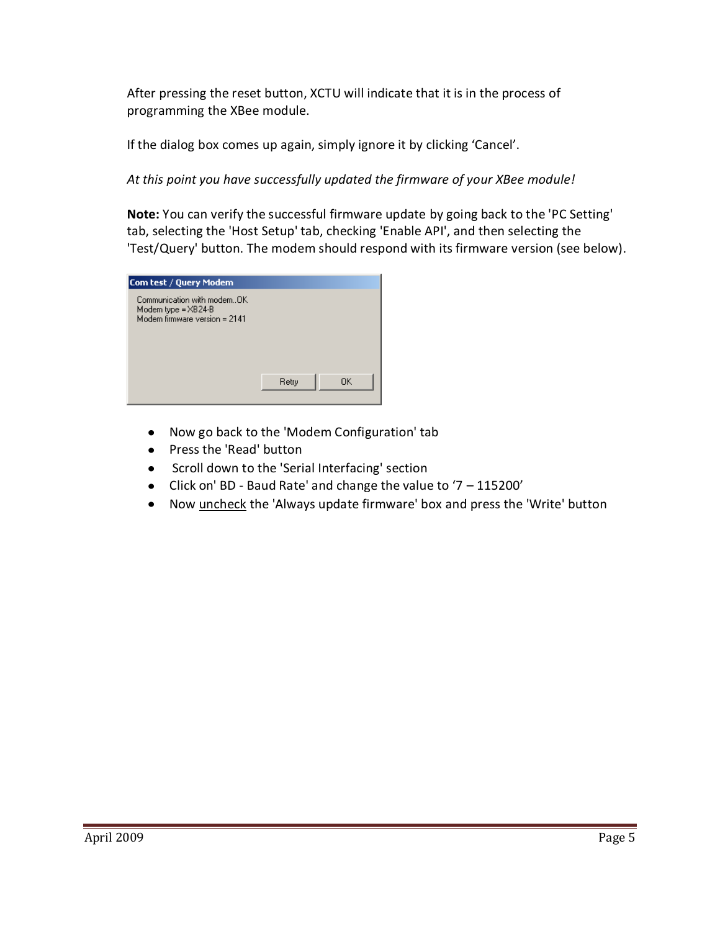After pressing the reset button, XCTU will indicate that it is in the process of programming the XBee module.

If the dialog box comes up again, simply ignore it by clicking 'Cancel'.

*At this point you have successfully updated the firmware of your XBee module!*

**Note:** You can verify the successful firmware update by going back to the 'PC Setting' tab, selecting the 'Host Setup' tab, checking 'Enable API', and then selecting the 'Test/Query' button. The modem should respond with its firmware version (see below).



- $\bullet$ Now go back to the 'Modem Configuration' tab
- Press the 'Read' button
- Scroll down to the 'Serial Interfacing' section
- Click on' BD Baud Rate' and change the value to '7 115200'
- Now uncheck the 'Always update firmware' box and press the 'Write' button $\bullet$